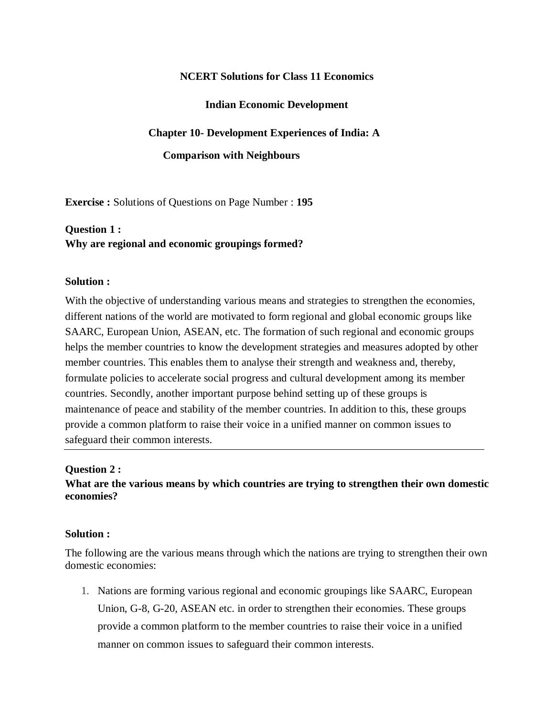### **NCERT Solutions for Class 11 Economics**

#### **Indian Economic Development**

#### **Chapter 10- Development Experiences of India: A**

#### **Comparison with Neighbours**

**Exercise :** Solutions of Questions on Page Number : **195** 

### **Question 1 : Why are regional and economic groupings formed?**

#### **Solution :**

With the objective of understanding various means and strategies to strengthen the economies, different nations of the world are motivated to form regional and global economic groups like SAARC, European Union, ASEAN, etc. The formation of such regional and economic groups helps the member countries to know the development strategies and measures adopted by other member countries. This enables them to analyse their strength and weakness and, thereby, formulate policies to accelerate social progress and cultural development among its member countries. Secondly, another important purpose behind setting up of these groups is maintenance of peace and stability of the member countries. In addition to this, these groups provide a common platform to raise their voice in a unified manner on common issues to safeguard their common interests.

#### **Question 2 :**

**What are the various means by which countries are trying to strengthen their own domestic economies?**

#### **Solution :**

The following are the various means through which the nations are trying to strengthen their own domestic economies:

1. Nations are forming various regional and economic groupings like SAARC, European Union, G-8, G-20, ASEAN etc. in order to strengthen their economies. These groups provide a common platform to the member countries to raise their voice in a unified manner on common issues to safeguard their common interests.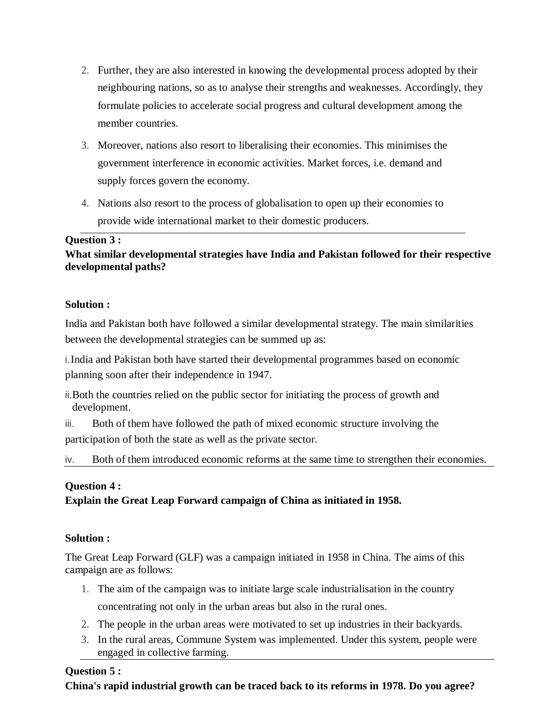- 2. Further, they are also interested in knowing the developmental process adopted by their neighbouring nations, so as to analyse their strengths and weaknesses. Accordingly, they formulate policies to accelerate social progress and cultural development among the member countries.
- 3. Moreover, nations also resort to liberalising their economies. This minimises the government interference in economic activities. Market forces, i.e. demand and supply forces govern the economy.
- 4. Nations also resort to the process of globalisation to open up their economies to provide wide international market to their domestic producers.

## **Question 3 :**

# **What similar developmental strategies have India and Pakistan followed for their respective developmental paths?**

## **Solution :**

India and Pakistan both have followed a similar developmental strategy. The main similarities between the developmental strategies can be summed up as:

i.India and Pakistan both have started their developmental programmes based on economic planning soon after their independence in 1947.

ii.Both the countries relied on the public sector for initiating the process of growth and development.

iii. Both of them have followed the path of mixed economic structure involving the participation of both the state as well as the private sector.

iv. Both of them introduced economic reforms at the same time to strengthen their economies.

## **Question 4 :**

**Explain the Great Leap Forward campaign of China as initiated in 1958.**

### **Solution :**

The Great Leap Forward (GLF) was a campaign initiated in 1958 in China. The aims of this campaign are as follows:

- 1. The aim of the campaign was to initiate large scale industrialisation in the country concentrating not only in the urban areas but also in the rural ones.
- 2. The people in the urban areas were motivated to set up industries in their backyards.
- 3. In the rural areas, Commune System was implemented. Under this system, people were engaged in collective farming.

## **Question 5 :**

**China's rapid industrial growth can be traced back to its reforms in 1978. Do you agree?**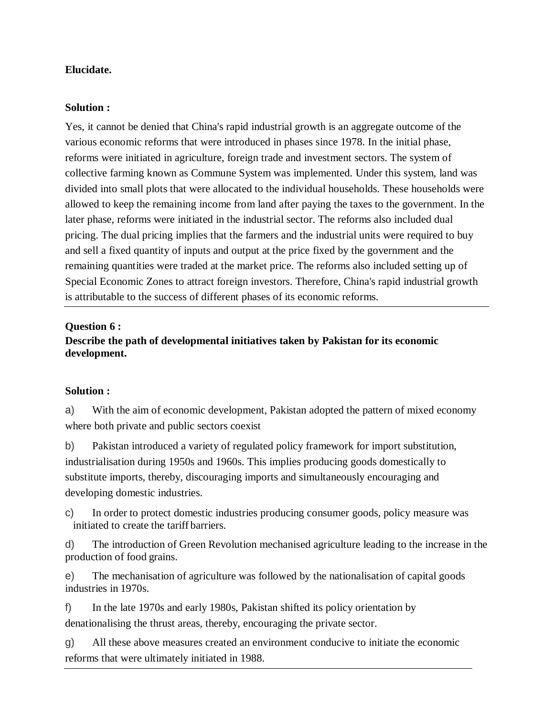## **Elucidate.**

### **Solution :**

Yes, it cannot be denied that China's rapid industrial growth is an aggregate outcome of the various economic reforms that were introduced in phases since 1978. In the initial phase, reforms were initiated in agriculture, foreign trade and investment sectors. The system of collective farming known as Commune System was implemented. Under this system, land was divided into small plots that were allocated to the individual households. These households were allowed to keep the remaining income from land after paying the taxes to the government. In the later phase, reforms were initiated in the industrial sector. The reforms also included dual pricing. The dual pricing implies that the farmers and the industrial units were required to buy and sell a fixed quantity of inputs and output at the price fixed by the government and the remaining quantities were traded at the market price. The reforms also included setting up of Special Economic Zones to attract foreign investors. Therefore, China's rapid industrial growth is attributable to the success of different phases of its economic reforms.

### **Question 6 :**

**Describe the path of developmental initiatives taken by Pakistan for its economic development.**

## **Solution :**

a) With the aim of economic development, Pakistan adopted the pattern of mixed economy where both private and public sectors coexist

b) Pakistan introduced a variety of regulated policy framework for import substitution, industrialisation during 1950s and 1960s. This implies producing goods domestically to substitute imports, thereby, discouraging imports and simultaneously encouraging and developing domestic industries.

c) In order to protect domestic industries producing consumer goods, policy measure was initiated to create the tariff barriers.

d) The introduction of Green Revolution mechanised agriculture leading to the increase in the production of food grains.

e) The mechanisation of agriculture was followed by the nationalisation of capital goods industries in 1970s.

f) In the late 1970s and early 1980s, Pakistan shifted its policy orientation by denationalising the thrust areas, thereby, encouraging the private sector.

g) All these above measures created an environment conducive to initiate the economic reforms that were ultimately initiated in 1988.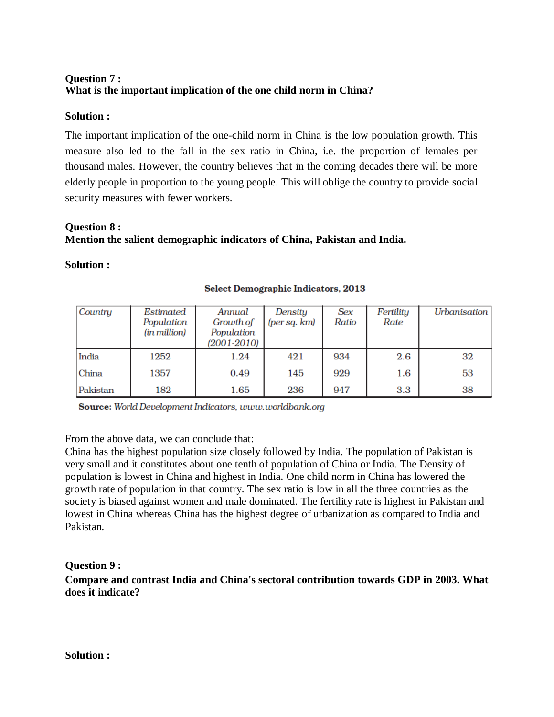# **Question 7 : What is the important implication of the one child norm in China?**

### **Solution :**

The important implication of the one-child norm in China is the low population growth. This measure also led to the fall in the sex ratio in China, i.e. the proportion of females per thousand males. However, the country believes that in the coming decades there will be more elderly people in proportion to the young people. This will oblige the country to provide social security measures with fewer workers.

### **Question 8 : Mention the salient demographic indicators of China, Pakistan and India.**

### **Solution :**

| Country      | Estimated<br>Population<br>(in million) | Annual<br>Growth of<br>Population<br>$(2001 - 2010)$ | Density<br>(per sq. km) | Sex<br>Ratio | Fertility<br>Rate | Urbanisation |
|--------------|-----------------------------------------|------------------------------------------------------|-------------------------|--------------|-------------------|--------------|
| India        | 1252                                    | 1.24                                                 | 421                     | 934          | $2.6\,$           | 32           |
| <b>China</b> | 1357                                    | 0.49                                                 | 145                     | 929          | 1.6               | 53           |
| Pakistan     | 182                                     | 1.65                                                 | 236                     | 947          | 3.3               | 38           |

#### **Select Demographic Indicators, 2013**

Source: World Development Indicators, www.worldbank.org

From the above data, we can conclude that:

China has the highest population size closely followed by India. The population of Pakistan is very small and it constitutes about one tenth of population of China or India. The Density of population is lowest in China and highest in India. One child norm in China has lowered the growth rate of population in that country. The sex ratio is low in all the three countries as the society is biased against women and male dominated. The fertility rate is highest in Pakistan and lowest in China whereas China has the highest degree of urbanization as compared to India and Pakistan.

### **Question 9 :**

**Compare and contrast India and China's sectoral contribution towards GDP in 2003. What does it indicate?**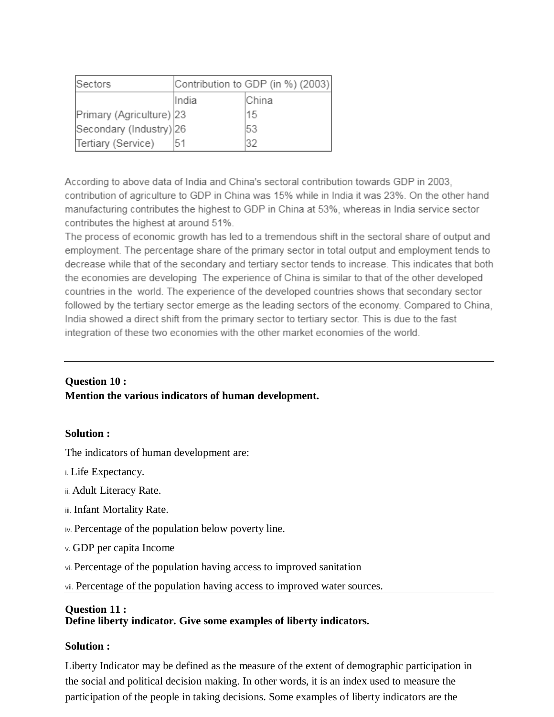| Sectors                  | Contribution to GDP (in %) (2003) |       |  |  |
|--------------------------|-----------------------------------|-------|--|--|
|                          | India                             | China |  |  |
| Primary (Agriculture) 23 |                                   | 15    |  |  |
| Secondary (Industry) 26  |                                   | 53    |  |  |
| Tertiary (Service)       | 51                                |       |  |  |

According to above data of India and China's sectoral contribution towards GDP in 2003. contribution of agriculture to GDP in China was 15% while in India it was 23%. On the other hand manufacturing contributes the highest to GDP in China at 53%, whereas in India service sector contributes the highest at around 51%.

The process of economic growth has led to a tremendous shift in the sectoral share of output and employment. The percentage share of the primary sector in total output and employment tends to decrease while that of the secondary and tertiary sector tends to increase. This indicates that both the economies are developing The experience of China is similar to that of the other developed countries in the world. The experience of the developed countries shows that secondary sector followed by the tertiary sector emerge as the leading sectors of the economy. Compared to China, India showed a direct shift from the primary sector to tertiary sector. This is due to the fast integration of these two economies with the other market economies of the world.

# **Question 10 : Mention the various indicators of human development.**

## **Solution :**

The indicators of human development are:

i. Life Expectancy.

- ii. Adult Literacy Rate.
- iii. Infant Mortality Rate.
- iv. Percentage of the population below poverty line.
- v. GDP per capita Income
- vi. Percentage of the population having access to improved sanitation
- vii. Percentage of the population having access to improved water sources.

### **Question 11 : Define liberty indicator. Give some examples of liberty indicators.**

### **Solution :**

Liberty Indicator may be defined as the measure of the extent of demographic participation in the social and political decision making. In other words, it is an index used to measure the participation of the people in taking decisions. Some examples of liberty indicators are the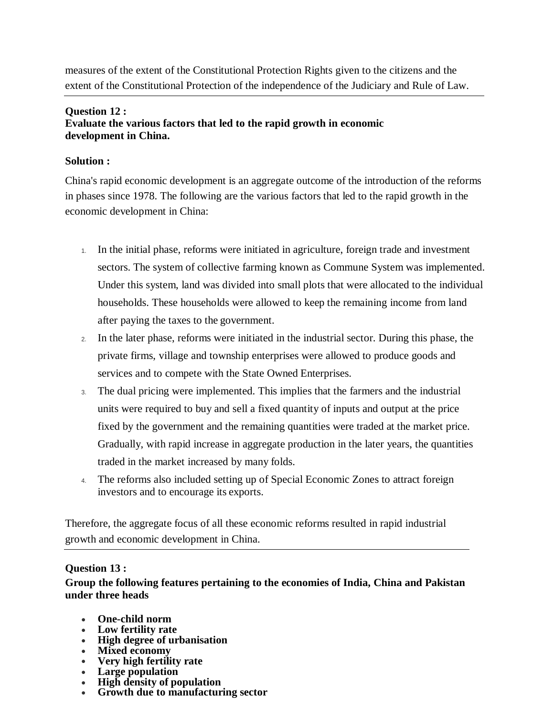measures of the extent of the Constitutional Protection Rights given to the citizens and the extent of the Constitutional Protection of the independence of the Judiciary and Rule of Law.

### **Question 12 : Evaluate the various factors that led to the rapid growth in economic development in China.**

## **Solution :**

China's rapid economic development is an aggregate outcome of the introduction of the reforms in phases since 1978. The following are the various factors that led to the rapid growth in the economic development in China:

- 1. In the initial phase, reforms were initiated in agriculture, foreign trade and investment sectors. The system of collective farming known as Commune System was implemented. Under this system, land was divided into small plots that were allocated to the individual households. These households were allowed to keep the remaining income from land after paying the taxes to the government.
- 2. In the later phase, reforms were initiated in the industrial sector. During this phase, the private firms, village and township enterprises were allowed to produce goods and services and to compete with the State Owned Enterprises.
- 3. The dual pricing were implemented. This implies that the farmers and the industrial units were required to buy and sell a fixed quantity of inputs and output at the price fixed by the government and the remaining quantities were traded at the market price. Gradually, with rapid increase in aggregate production in the later years, the quantities traded in the market increased by many folds.
- 4. The reforms also included setting up of Special Economic Zones to attract foreign investors and to encourage its exports.

Therefore, the aggregate focus of all these economic reforms resulted in rapid industrial growth and economic development in China.

## **Question 13 :**

**Group the following features pertaining to the economies of India, China and Pakistan under three heads**

- **One-child norm**
- **Low fertility rate**
- **High degree of urbanisation**
- **Mixed economy**
- **Very high fertility rate**
- **Large population**
- **High density of population**
- **Growth due to manufacturing sector**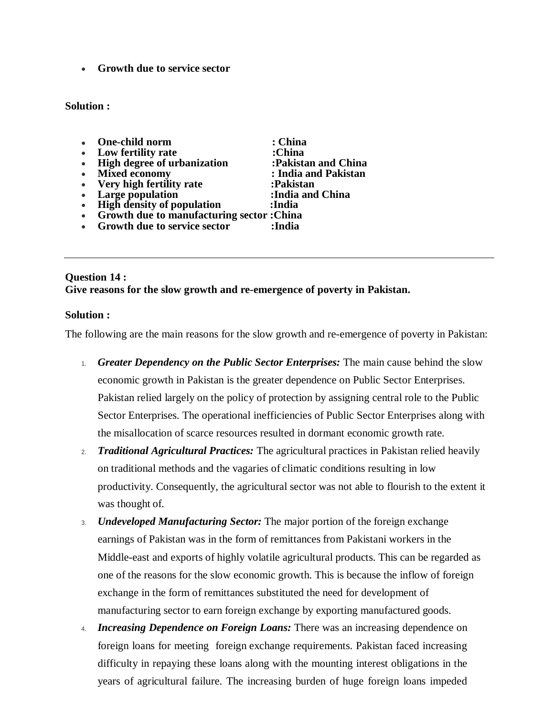• **Growth due to service sector**

#### **Solution :**

• **One-child norm : China** • **Low fertility rate :China** • **High degree of urbanization :Pakistan and China** • **Mixed economy : India and Pakistan** • **Very high fertility rate :Pakistan** • **Large population india**<br>• **High density of population <b>india** :India • **High density of population** • **Growth due to manufacturing sector :China • Growth due to service sector** 

### **Question 14 : Give reasons for the slow growth and re-emergence of poverty in Pakistan.**

#### **Solution :**

The following are the main reasons for the slow growth and re-emergence of poverty in Pakistan:

- 1. *Greater Dependency on the Public Sector Enterprises:* The main cause behind the slow economic growth in Pakistan is the greater dependence on Public Sector Enterprises. Pakistan relied largely on the policy of protection by assigning central role to the Public Sector Enterprises. The operational inefficiencies of Public Sector Enterprises along with the misallocation of scarce resources resulted in dormant economic growth rate.
- 2. *Traditional Agricultural Practices:* The agricultural practices in Pakistan relied heavily on traditional methods and the vagaries of climatic conditions resulting in low productivity. Consequently, the agricultural sector was not able to flourish to the extent it was thought of.
- 3. *Undeveloped Manufacturing Sector:* The major portion of the foreign exchange earnings of Pakistan was in the form of remittances from Pakistani workers in the Middle-east and exports of highly volatile agricultural products. This can be regarded as one of the reasons for the slow economic growth. This is because the inflow of foreign exchange in the form of remittances substituted the need for development of manufacturing sector to earn foreign exchange by exporting manufactured goods.
- 4. *Increasing Dependence on Foreign Loans:* There was an increasing dependence on foreign loans for meeting foreign exchange requirements. Pakistan faced increasing difficulty in repaying these loans along with the mounting interest obligations in the years of agricultural failure. The increasing burden of huge foreign loans impeded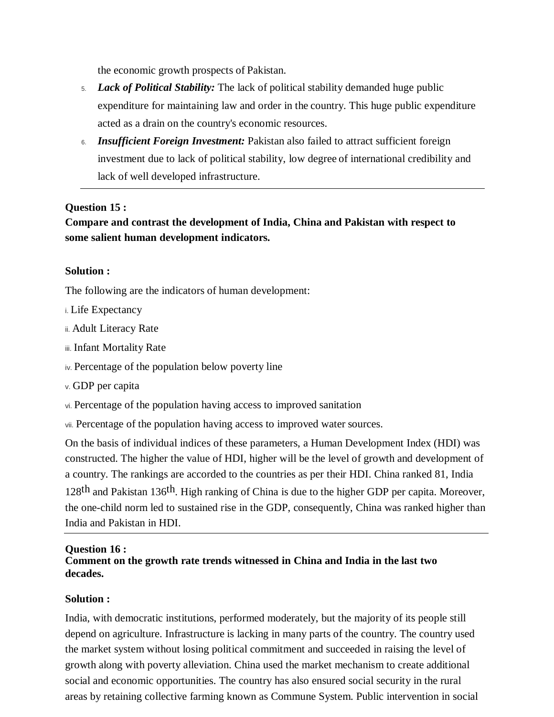the economic growth prospects of Pakistan.

- 5. *Lack of Political Stability:* The lack of political stability demanded huge public expenditure for maintaining law and order in the country. This huge public expenditure acted as a drain on the country's economic resources.
- 6. *Insufficient Foreign Investment:* Pakistan also failed to attract sufficient foreign investment due to lack of political stability, low degree of international credibility and lack of well developed infrastructure.

### **Question 15 :**

**Compare and contrast the development of India, China and Pakistan with respect to some salient human development indicators.**

### **Solution :**

The following are the indicators of human development:

- i. Life Expectancy
- ii. Adult Literacy Rate
- iii. Infant Mortality Rate
- iv. Percentage of the population below poverty line
- v. GDP per capita

vi. Percentage of the population having access to improved sanitation

vii. Percentage of the population having access to improved water sources.

On the basis of individual indices of these parameters, a Human Development Index (HDI) was constructed. The higher the value of HDI, higher will be the level of growth and development of a country. The rankings are accorded to the countries as per their HDI. China ranked 81, India

128<sup>th</sup> and Pakistan 136<sup>th</sup>. High ranking of China is due to the higher GDP per capita. Moreover, the one-child norm led to sustained rise in the GDP, consequently, China was ranked higher than India and Pakistan in HDI.

### **Question 16 :**

# **Comment on the growth rate trends witnessed in China and India in the last two decades.**

### **Solution :**

India, with democratic institutions, performed moderately, but the majority of its people still depend on agriculture. Infrastructure is lacking in many parts of the country. The country used the market system without losing political commitment and succeeded in raising the level of growth along with poverty alleviation. China used the market mechanism to create additional social and economic opportunities. The country has also ensured social security in the rural areas by retaining collective farming known as Commune System. Public intervention in social